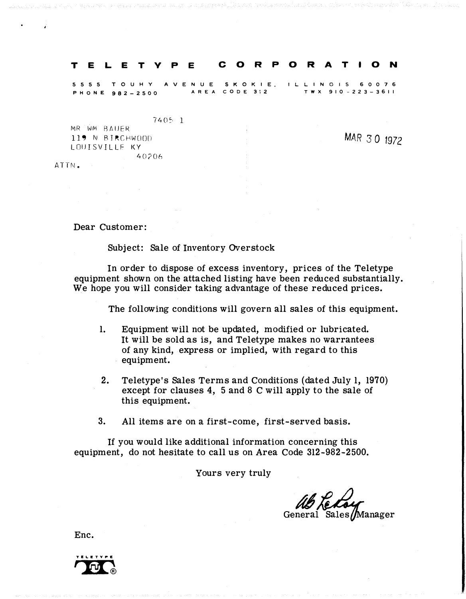#### T E L E T V P E CORP O R A T ION

5555 TOUHY AVE NUE SKO KIE , ILLINOIS 6 0 0 76 P H ONE 982-2500 A REA CODE 3\2 TWX 910 - 223-3611

740� 1

MR WM RAUER 119 N BIRCHWOOD LOUISVILLF KY 40?06

MAR 3 0 1972

ATTN.

Dear Customer:

Subject: Sale of Inventory Overstock

In order to dispose of excess inventory, prices of the Teletype equipment shown on the attached listing have been reduced substantially. We hope you will consider taking advantage of these reduced prices.

The following conditions will govern all sales of this equipment.

- 1. Equipment will not be updated, modified or lubricated. It will be sold as is, and Teletype makes no warrantees of any kind, express or implied, with regard to this equipment.
- 2. Teletype's Sales Terms and Conditions (dated July 1, 1970) except for clauses 4, 5 and 8 C will apply to the sale of this equipment.
- 3. All items are on a first-come, first-served basis.

If you would like additional information concerning this equipment, do not hesitate to call us on Area Code 312-982-2500.

Yours very truly

ab Ledour General Sales/Manager

Enc.

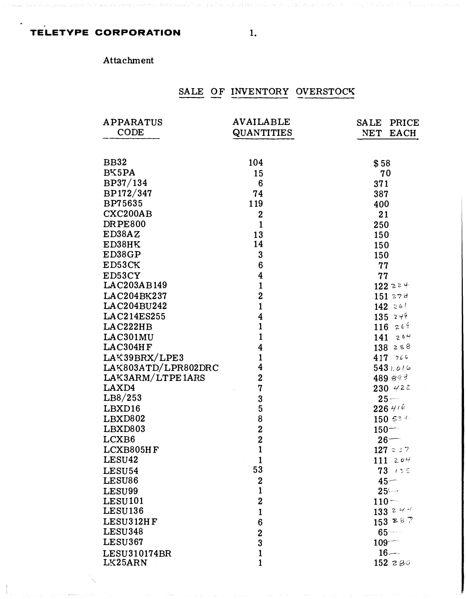### TELETYPE CORPORATION

## Attachment

# SALE OF INVENTORY OVERSTOCK

| <b>APPARATUS</b>    | <b>AVAILABLE</b>        | <b>SALE</b><br>PRICE |
|---------------------|-------------------------|----------------------|
| <b>CODE</b>         | QUANTITIES              | <b>EACH</b><br>NET   |
|                     |                         |                      |
| <b>BB32</b>         | 104                     | \$58                 |
| BK5PA               | 15                      | 70                   |
| BP37/134            | $6\phantom{1}6$         | 371                  |
| BP172/347           | 74                      | 387                  |
| BP75635             | 119                     | 400                  |
| CXC200AB            | $\mathbf 2$             | 21                   |
| <b>DRPE800</b>      | $\mathbf{1}$            | 250                  |
| ED38AZ              | 13                      | 150                  |
| ED38HK              | 14                      | 150                  |
| ED38GP              | 3                       | 150                  |
| ED53CK              | $6\phantom{1}6$         | 77                   |
| ED53CY              | $\overline{\mathbf{4}}$ | 77                   |
| LAC203AB149         | $\mathbf{1}$            | $122z$ <sup>2</sup>  |
| LAC204BK237         | $\overline{2}$          | 151278               |
| LAC204BU242         | $\mathbf{1}$            | 142261               |
| LAC214ES255         | $\overline{\mathbf{4}}$ | $135$ $249$          |
| LAC222HB            | $\mathbf{1}$            | 116269               |
| LAC301MU            | $\mathbf{1}$            | 141264               |
| LAC304HF            | $\overline{\mathbf{4}}$ | 138258               |
| LAK39BRX/LPE3       | $\mathbf{1}$            | 417 766              |
| LAK803ATD/LPR802DRC | 4                       | 5431.016             |
| LAK3ARM/LTPE1ARS    | $\overline{2}$          | 489 893              |
| LAXD4               | $\mathbf 7$             | $230$ $422$          |
| LB8/253             | 3                       | $25 -$               |
| LBXD16              | $\overline{5}$          | $226$ 416            |
| LBXD802             | 8                       | 150534               |
| LBXD803             | $\overline{2}$          | $150 -$              |
| LCXB6               | $\overline{2}$          | $26 -$               |
| LCXB805HF           | $\mathbf{1}$            | 127237               |
| LESU42              | 1                       | 111204               |
| LESU54              | 53                      | $73 + 35$            |
| LESU86              | $\boldsymbol{2}$        | $45-$                |
| LESU99              | $\mathbf{1}$            | $25 -$               |
| LESU101             | $\mathbf 2$             | $110 -$              |
| LESU136             | $\mathbf{1}$            | 133 2 4 4            |
| LESU312HF           | 6                       | 1532887              |
| <b>LESU348</b>      | $\mathbf 2$             | 65                   |
| LESU367             | $\overline{3}$          | $109 -$              |
| LESU310174BR        | $\mathbf{1}$            | $16 -$               |
| LK25ARN             | $\mathbf{1}$            | 152 $280$            |

 $1.$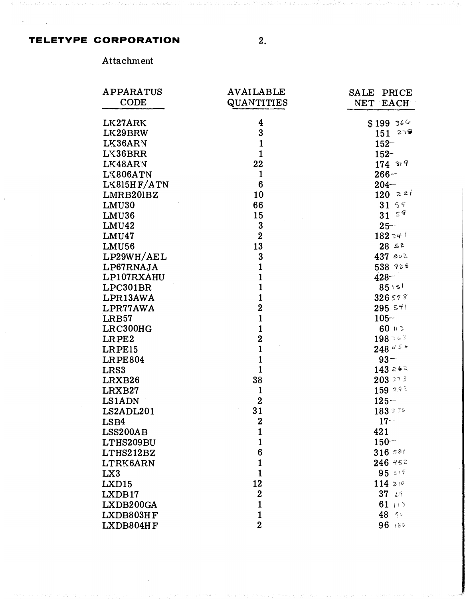#### **TELETYPE CORPORATION**

 $2.$ 

Attachment

| APPARATUS      | <b>AVAILABLE</b>  | <b>SALE</b><br>PRICE      |
|----------------|-------------------|---------------------------|
| <b>CODE</b>    | <b>QUANTITIES</b> | NET EACH                  |
|                |                   |                           |
| LK27ARK        | 4                 | $$199$ 366                |
| LK29BRW        | 3                 | 279<br>151                |
| LK36ARN        | $\mathbf{1}$      | $152 -$                   |
| LK36BRR        | $\mathbf{1}$      | $152 -$                   |
| LK48ARN        | 22                | 17439                     |
| LK806ATN       | $\mathbf{1}$      | $266 -$                   |
| LK815HF/ATN    | $6\phantom{1}6$   | $204 -$                   |
| LMRB201BZ      | 10                | $120 \times 24$           |
| LMU30          | 66                | 31 59                     |
| LMU36          | 15                | $\mathcal{S}^{\,q}$<br>31 |
| LMU42          | 3                 | $25 -$                    |
| LMU47          | $\overline{2}$    | $182$ 34 $^\prime$        |
| <b>LMU56</b>   | 13                | 28 s2                     |
| LP29WH/AEL     | 3                 | $437$ $802$               |
| LP67RNAJA      | $\mathbf{1}$      | 538 988                   |
| LP107RXAHU     | $\mathbf{1}$      | $428 -$                   |
| LPC301BR       | $\mathbf{1}$      | 85151                     |
| LPR13AWA       | $\mathbf{1}$      | 326598                    |
| LPR77AWA       | $\overline{2}$    | $295$ s <sup>41</sup>     |
| LRB57          | $\mathbf{1}$      | $105 -$                   |
| LRC300HG       | $\mathbf{1}$      | $60 + 3$                  |
| LRPE2          | $\overline{2}$    | 198.763                   |
| LRPE15         | $\mathbf{1}$      | $248$ 45 $^{\circ}$       |
| <b>LRPE804</b> | $\mathbf{1}$      | $93 -$                    |
| LRS3           | $\mathbf{1}$      | 143.262                   |
| LRXB26         | 38                | $203 \div 7\frac{3}{7}$   |
| LRXB27         | $\mathbf{1}$      | $159^{292}$               |
| LS1ADN         | $\mathbf 2$       | $125 -$                   |
| LS2ADL201      | 31                | 1833356                   |
| LSB4           | $\overline{2}$    | $17 -$                    |
| LSS200AB       | 1                 | 421                       |
| LTHS209BU      | $\mathbf{1}$      | $150 -$                   |
| LTHS212BZ      | 6                 | $316$ sal                 |
| LTRK6ARN       | $\mathbf{1}$      | $246$ 452                 |
| LX3            | $\mathbf{1}$      | 95349                     |
| LXD15          | 12                | $114 \ge 0$               |
| LXDB17         | $\mathbf 2$       | $37$ $64$                 |
| LXDB200GA      | $\mathbf{1}$      | 61 $13$                   |
| LXDB803HF      | $\mathbf{1}$      | $48$ $90$                 |
| LXDB804HF      | $\overline{2}$    | 96 :50                    |